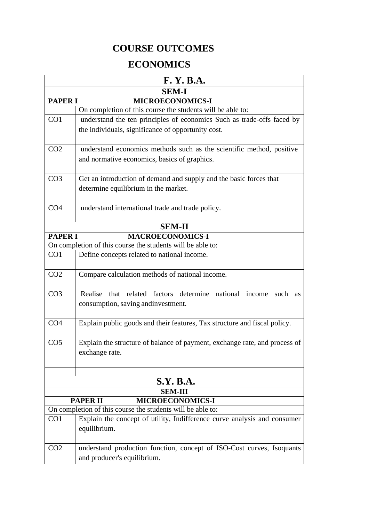## **COURSE OUTCOMES**

## **ECONOMICS**

| F. Y. B.A.                                 |                                                                             |  |
|--------------------------------------------|-----------------------------------------------------------------------------|--|
| <b>SEM-I</b>                               |                                                                             |  |
| <b>PAPER I</b>                             | <b>MICROECONOMICS-I</b>                                                     |  |
|                                            | On completion of this course the students will be able to:                  |  |
| CO <sub>1</sub>                            | understand the ten principles of economics Such as trade-offs faced by      |  |
|                                            | the individuals, significance of opportunity cost.                          |  |
|                                            |                                                                             |  |
| CO <sub>2</sub>                            | understand economics methods such as the scientific method, positive        |  |
|                                            | and normative economics, basics of graphics.                                |  |
|                                            |                                                                             |  |
| CO <sub>3</sub>                            | Get an introduction of demand and supply and the basic forces that          |  |
|                                            | determine equilibrium in the market.                                        |  |
|                                            |                                                                             |  |
| CO <sub>4</sub>                            | understand international trade and trade policy.                            |  |
|                                            |                                                                             |  |
|                                            | <b>SEM-II</b>                                                               |  |
| <b>PAPER I</b>                             | <b>MACROECONOMICS-I</b>                                                     |  |
|                                            | On completion of this course the students will be able to:                  |  |
| CO <sub>1</sub>                            | Define concepts related to national income.                                 |  |
|                                            |                                                                             |  |
| CO <sub>2</sub>                            | Compare calculation methods of national income.                             |  |
|                                            |                                                                             |  |
| CO <sub>3</sub>                            | Realise that related factors determine national income<br>such<br><b>as</b> |  |
|                                            | consumption, saving and investment.                                         |  |
|                                            |                                                                             |  |
| CO <sub>4</sub>                            | Explain public goods and their features, Tax structure and fiscal policy.   |  |
|                                            |                                                                             |  |
| CO <sub>5</sub>                            | Explain the structure of balance of payment, exchange rate, and process of  |  |
|                                            | exchange rate.                                                              |  |
|                                            |                                                                             |  |
|                                            |                                                                             |  |
|                                            | <b>S.Y. B.A.</b>                                                            |  |
|                                            | <b>SEM-III</b>                                                              |  |
| <b>PAPER II</b><br><b>MICROECONOMICS-I</b> |                                                                             |  |
|                                            | On completion of this course the students will be able to:                  |  |
| CO <sub>1</sub>                            | Explain the concept of utility, Indifference curve analysis and consumer    |  |
|                                            | equilibrium.                                                                |  |
|                                            |                                                                             |  |
| CO <sub>2</sub>                            | understand production function, concept of ISO-Cost curves, Isoquants       |  |
|                                            | and producer's equilibrium.                                                 |  |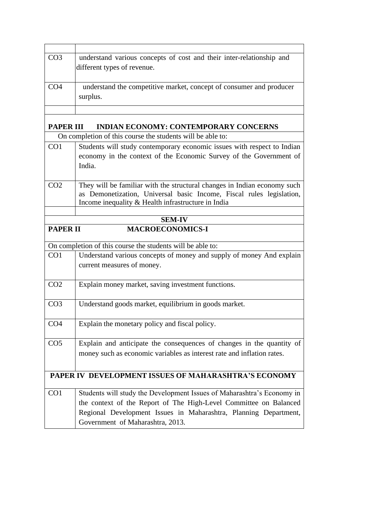| CO <sub>3</sub>                                      | understand various concepts of cost and their inter-relationship and<br>different types of revenue.                                                                                                                                                 |
|------------------------------------------------------|-----------------------------------------------------------------------------------------------------------------------------------------------------------------------------------------------------------------------------------------------------|
| CO <sub>4</sub>                                      | understand the competitive market, concept of consumer and producer<br>surplus.                                                                                                                                                                     |
| <b>PAPER III</b>                                     | <b>INDIAN ECONOMY: CONTEMPORARY CONCERNS</b>                                                                                                                                                                                                        |
|                                                      | On completion of this course the students will be able to:                                                                                                                                                                                          |
| CO <sub>1</sub>                                      | Students will study contemporary economic issues with respect to Indian<br>economy in the context of the Economic Survey of the Government of<br>India.                                                                                             |
| CO <sub>2</sub>                                      | They will be familiar with the structural changes in Indian economy such<br>as Demonetization, Universal basic Income, Fiscal rules legislation,<br>Income inequality & Health infrastructure in India                                              |
|                                                      | <b>SEM-IV</b>                                                                                                                                                                                                                                       |
| <b>PAPER II</b>                                      | <b>MACROECONOMICS-I</b>                                                                                                                                                                                                                             |
|                                                      |                                                                                                                                                                                                                                                     |
|                                                      | On completion of this course the students will be able to:                                                                                                                                                                                          |
| CO <sub>1</sub>                                      | Understand various concepts of money and supply of money And explain<br>current measures of money.                                                                                                                                                  |
| CO <sub>2</sub>                                      | Explain money market, saving investment functions.                                                                                                                                                                                                  |
| CO <sub>3</sub>                                      | Understand goods market, equilibrium in goods market.                                                                                                                                                                                               |
| CO <sub>4</sub>                                      | Explain the monetary policy and fiscal policy.                                                                                                                                                                                                      |
| CO <sub>5</sub>                                      | Explain and anticipate the consequences of changes in the quantity of<br>money such as economic variables as interest rate and inflation rates.                                                                                                     |
| PAPER IV DEVELOPMENT ISSUES OF MAHARASHTRA'S ECONOMY |                                                                                                                                                                                                                                                     |
| CO <sub>1</sub>                                      | Students will study the Development Issues of Maharashtra's Economy in<br>the context of the Report of The High-Level Committee on Balanced<br>Regional Development Issues in Maharashtra, Planning Department,<br>Government of Maharashtra, 2013. |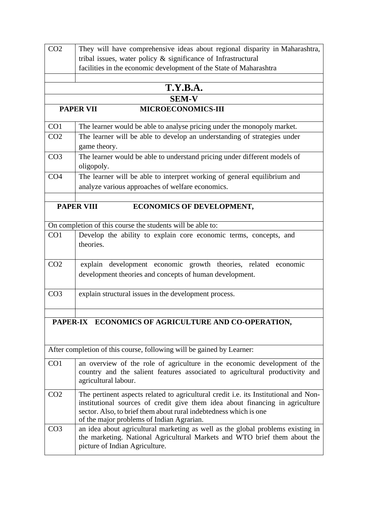| CO <sub>2</sub> | They will have comprehensive ideas about regional disparity in Maharashtra,                                                                                                                                                                                                             |
|-----------------|-----------------------------------------------------------------------------------------------------------------------------------------------------------------------------------------------------------------------------------------------------------------------------------------|
|                 | tribal issues, water policy $\&$ significance of Infrastructural                                                                                                                                                                                                                        |
|                 | facilities in the economic development of the State of Maharashtra                                                                                                                                                                                                                      |
|                 |                                                                                                                                                                                                                                                                                         |
|                 | <b>T.Y.B.A.</b>                                                                                                                                                                                                                                                                         |
|                 | <b>SEM-V</b>                                                                                                                                                                                                                                                                            |
|                 | <b>MICROECONOMICS-III</b><br><b>PAPER VII</b>                                                                                                                                                                                                                                           |
| CO <sub>1</sub> | The learner would be able to analyse pricing under the monopoly market.                                                                                                                                                                                                                 |
| CO <sub>2</sub> | The learner will be able to develop an understanding of strategies under<br>game theory.                                                                                                                                                                                                |
| CO <sub>3</sub> | The learner would be able to understand pricing under different models of                                                                                                                                                                                                               |
|                 | oligopoly.                                                                                                                                                                                                                                                                              |
| CO <sub>4</sub> | The learner will be able to interpret working of general equilibrium and                                                                                                                                                                                                                |
|                 | analyze various approaches of welfare economics.                                                                                                                                                                                                                                        |
|                 |                                                                                                                                                                                                                                                                                         |
|                 | <b>PAPER VIII</b><br><b>ECONOMICS OF DEVELOPMENT,</b>                                                                                                                                                                                                                                   |
|                 | On completion of this course the students will be able to:                                                                                                                                                                                                                              |
| CO <sub>1</sub> | Develop the ability to explain core economic terms, concepts, and                                                                                                                                                                                                                       |
|                 | theories.                                                                                                                                                                                                                                                                               |
| CO <sub>2</sub> | explain development economic growth theories, related economic                                                                                                                                                                                                                          |
|                 | development theories and concepts of human development.                                                                                                                                                                                                                                 |
| CO <sub>3</sub> | explain structural issues in the development process.                                                                                                                                                                                                                                   |
|                 |                                                                                                                                                                                                                                                                                         |
|                 | PAPER-IX ECONOMICS OF AGRICULTURE AND CO-OPERATION,                                                                                                                                                                                                                                     |
|                 |                                                                                                                                                                                                                                                                                         |
|                 | After completion of this course, following will be gained by Learner:                                                                                                                                                                                                                   |
| CO <sub>1</sub> | an overview of the role of agriculture in the economic development of the<br>country and the salient features associated to agricultural productivity and<br>agricultural labour.                                                                                                       |
| CO <sub>2</sub> | The pertinent aspects related to agricultural credit i.e. its Institutional and Non-<br>institutional sources of credit give them idea about financing in agriculture<br>sector. Also, to brief them about rural indebtedness which is one<br>of the major problems of Indian Agrarian. |
| CO <sub>3</sub> | an idea about agricultural marketing as well as the global problems existing in<br>the marketing. National Agricultural Markets and WTO brief them about the<br>picture of Indian Agriculture.                                                                                          |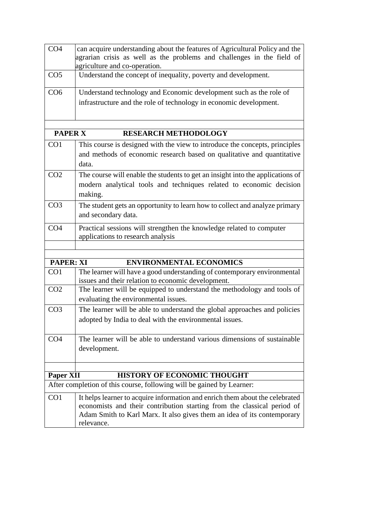| CO <sub>4</sub>                                                                                                                 | can acquire understanding about the features of Agricultural Policy and the<br>agrarian crisis as well as the problems and challenges in the field of<br>agriculture and co-operation.                                                           |  |
|---------------------------------------------------------------------------------------------------------------------------------|--------------------------------------------------------------------------------------------------------------------------------------------------------------------------------------------------------------------------------------------------|--|
| CO <sub>5</sub>                                                                                                                 | Understand the concept of inequality, poverty and development.                                                                                                                                                                                   |  |
| CO6                                                                                                                             | Understand technology and Economic development such as the role of<br>infrastructure and the role of technology in economic development.                                                                                                         |  |
| <b>PAPER X</b><br><b>RESEARCH METHODOLOGY</b>                                                                                   |                                                                                                                                                                                                                                                  |  |
| CO <sub>1</sub>                                                                                                                 | This course is designed with the view to introduce the concepts, principles<br>and methods of economic research based on qualitative and quantitative<br>data.                                                                                   |  |
| CO <sub>2</sub>                                                                                                                 | The course will enable the students to get an insight into the applications of<br>modern analytical tools and techniques related to economic decision<br>making.                                                                                 |  |
| CO <sub>3</sub>                                                                                                                 | The student gets an opportunity to learn how to collect and analyze primary<br>and secondary data.                                                                                                                                               |  |
| CO <sub>4</sub>                                                                                                                 | Practical sessions will strengthen the knowledge related to computer<br>applications to research analysis                                                                                                                                        |  |
|                                                                                                                                 |                                                                                                                                                                                                                                                  |  |
| <b>PAPER: XI</b>                                                                                                                | <b>ENVIRONMENTAL ECONOMICS</b>                                                                                                                                                                                                                   |  |
| CO1                                                                                                                             | The learner will have a good understanding of contemporary environmental<br>issues and their relation to economic development.                                                                                                                   |  |
| CO <sub>2</sub>                                                                                                                 | The learner will be equipped to understand the methodology and tools of<br>evaluating the environmental issues.                                                                                                                                  |  |
| CO <sub>3</sub>                                                                                                                 | The learner will be able to understand the global approaches and policies<br>adopted by India to deal with the environmental issues                                                                                                              |  |
| CO <sub>4</sub>                                                                                                                 | The learner will be able to understand various dimensions of sustainable<br>development.                                                                                                                                                         |  |
|                                                                                                                                 |                                                                                                                                                                                                                                                  |  |
| <b>Paper XII</b><br><b>HISTORY OF ECONOMIC THOUGHT</b><br>After completion of this course, following will be gained by Learner: |                                                                                                                                                                                                                                                  |  |
|                                                                                                                                 |                                                                                                                                                                                                                                                  |  |
| CO <sub>1</sub>                                                                                                                 | It helps learner to acquire information and enrich them about the celebrated<br>economists and their contribution starting from the classical period of<br>Adam Smith to Karl Marx. It also gives them an idea of its contemporary<br>relevance. |  |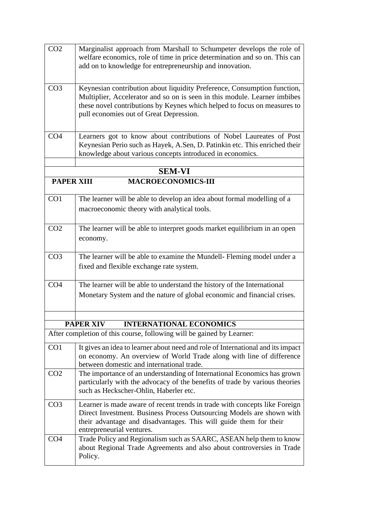| CO <sub>2</sub>                                | Marginalist approach from Marshall to Schumpeter develops the role of<br>welfare economics, role of time in price determination and so on. This can<br>add on to knowledge for entrepreneurship and innovation.                                                              |
|------------------------------------------------|------------------------------------------------------------------------------------------------------------------------------------------------------------------------------------------------------------------------------------------------------------------------------|
| CO <sub>3</sub>                                | Keynesian contribution about liquidity Preference, Consumption function,<br>Multiplier, Accelerator and so on is seen in this module. Learner imbibes<br>these novel contributions by Keynes which helped to focus on measures to<br>pull economies out of Great Depression. |
| CO <sub>4</sub>                                | Learners got to know about contributions of Nobel Laureates of Post<br>Keynesian Perio such as Hayek, A.Sen, D. Patinkin etc. This enriched their<br>knowledge about various concepts introduced in economics.                                                               |
|                                                | <b>SEM-VI</b>                                                                                                                                                                                                                                                                |
| <b>MACROECONOMICS-III</b><br><b>PAPER XIII</b> |                                                                                                                                                                                                                                                                              |
| CO1                                            | The learner will be able to develop an idea about formal modelling of a<br>macroeconomic theory with analytical tools.                                                                                                                                                       |
| CO <sub>2</sub>                                | The learner will be able to interpret goods market equilibrium in an open<br>economy.                                                                                                                                                                                        |
| CO <sub>3</sub>                                | The learner will be able to examine the Mundell- Fleming model under a<br>fixed and flexible exchange rate system.                                                                                                                                                           |
| CO <sub>4</sub>                                | The learner will be able to understand the history of the International<br>Monetary System and the nature of global economic and financial crises.                                                                                                                           |
|                                                |                                                                                                                                                                                                                                                                              |
|                                                | <b>PAPER XIV</b><br><b>INTERNATIONAL ECONOMICS</b><br>After completion of this course, following will be gained by Learner:                                                                                                                                                  |
|                                                |                                                                                                                                                                                                                                                                              |
| CO1                                            | It gives an idea to learner about need and role of International and its impact<br>on economy. An overview of World Trade along with line of difference<br>between domestic and international trade.                                                                         |
| CO <sub>2</sub>                                | The importance of an understanding of International Economics has grown<br>particularly with the advocacy of the benefits of trade by various theories<br>such as Heckscher-Ohlin, Haberler etc.                                                                             |
| CO <sub>3</sub>                                | Learner is made aware of recent trends in trade with concepts like Foreign<br>Direct Investment. Business Process Outsourcing Models are shown with<br>their advantage and disadvantages. This will guide them for their<br>entrepreneurial ventures.                        |
| CO <sub>4</sub>                                | Trade Policy and Regionalism such as SAARC, ASEAN help them to know<br>about Regional Trade Agreements and also about controversies in Trade<br>Policy.                                                                                                                      |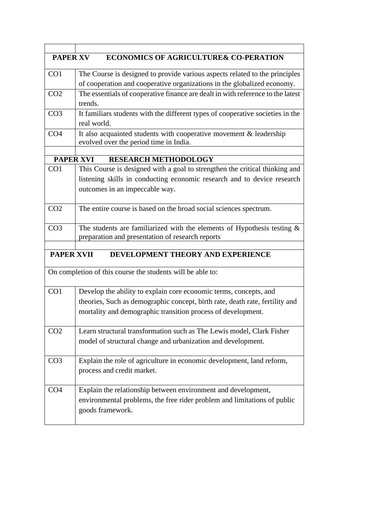| <b>PAPER XV</b><br><b>ECONOMICS OF AGRICULTURE&amp; CO-PERATION</b> |                                                                                                                                |  |
|---------------------------------------------------------------------|--------------------------------------------------------------------------------------------------------------------------------|--|
| CO <sub>1</sub>                                                     | The Course is designed to provide various aspects related to the principles                                                    |  |
|                                                                     | of cooperation and cooperative organizations in the globalized economy.                                                        |  |
| CO <sub>2</sub>                                                     | The essentials of cooperative finance are dealt in with reference to the latest                                                |  |
|                                                                     | trends.                                                                                                                        |  |
| CO <sub>3</sub>                                                     | It familiars students with the different types of cooperative societies in the                                                 |  |
|                                                                     | real world.                                                                                                                    |  |
| CO <sub>4</sub>                                                     | It also acquainted students with cooperative movement $\&$ leadership                                                          |  |
|                                                                     | evolved over the period time in India.                                                                                         |  |
| <b>PAPER XVI</b>                                                    | <b>RESEARCH METHODOLOGY</b>                                                                                                    |  |
| CO <sub>1</sub>                                                     | This Course is designed with a goal to strengthen the critical thinking and                                                    |  |
|                                                                     | listening skills in conducting economic research and to device research                                                        |  |
|                                                                     | outcomes in an impeccable way.                                                                                                 |  |
|                                                                     |                                                                                                                                |  |
| CO <sub>2</sub>                                                     | The entire course is based on the broad social sciences spectrum.                                                              |  |
|                                                                     |                                                                                                                                |  |
| CO <sub>3</sub>                                                     | The students are familiarized with the elements of Hypothesis testing $\&$<br>preparation and presentation of research reports |  |
|                                                                     |                                                                                                                                |  |
| <b>PAPER XVII</b>                                                   | DEVELOPMENT THEORY AND EXPERIENCE                                                                                              |  |
|                                                                     | On completion of this course the students will be able to:                                                                     |  |
| CO <sub>1</sub>                                                     | Develop the ability to explain core economic terms, concepts, and                                                              |  |
|                                                                     | theories, Such as demographic concept, birth rate, death rate, fertility and                                                   |  |
|                                                                     | mortality and demographic transition process of development.                                                                   |  |
| CO <sub>2</sub>                                                     | Learn structural transformation such as The Lewis model, Clark Fisher                                                          |  |
|                                                                     | model of structural change and urbanization and development.                                                                   |  |
|                                                                     |                                                                                                                                |  |
| CO <sub>3</sub>                                                     | Explain the role of agriculture in economic development, land reform,                                                          |  |
|                                                                     | process and credit market.                                                                                                     |  |
|                                                                     |                                                                                                                                |  |
| CO <sub>4</sub>                                                     | Explain the relationship between environment and development,                                                                  |  |
|                                                                     | environmental problems, the free rider problem and limitations of public                                                       |  |
|                                                                     | goods framework.                                                                                                               |  |
|                                                                     |                                                                                                                                |  |